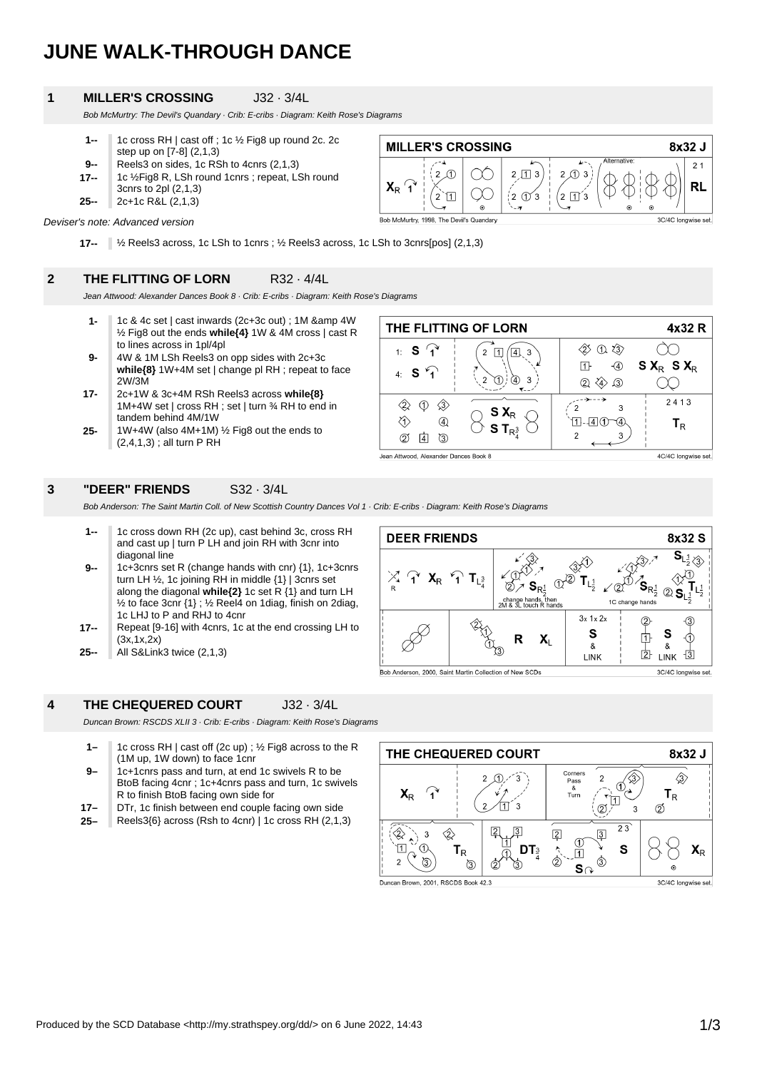# **JUNE WALK-THROUGH DANCE**

#### **1 MILLER'S CROSSING** J32 · 3/4L

Bob McMurtry: The Devil's Quandary · Crib: E-cribs · Diagram: Keith Rose's Diagrams

- **9-- 1--** 1c cross RH | cast off ; 1c ½ Fig8 up round 2c. 2c step up on [7-8] (2,1,3) Reels3 on sides, 1c RSh to 4cnrs (2,1,3)
- 
- **25-- 17--** 1c ½Fig8 R, LSh round 1cnrs ; repeat, LSh round 3cnrs to 2pl (2,1,3)
- 2c+1c R&L (2,1,3)



Deviser's note: Advanced version

**17--** ½ Reels3 across, 1c LSh to 1cnrs ; ½ Reels3 across, 1c LSh to 3cnrs[pos] (2,1,3)

## **2 THE FLITTING OF LORN** R32 · 4/4L

Jean Attwood: Alexander Dances Book 8 · Crib: E-cribs · Diagram: Keith Rose's Diagrams

- **1-** 1c & 4c set | cast inwards (2c+3c out) ;  $1M$  & amp  $4W$ ½ Fig8 out the ends **while{4}** 1W & 4M cross | cast R to lines across in 1pl/4pl
- **9-** 4W & 1M LSh Reels3 on opp sides with 2c+3c **while{8}** 1W+4M set | change pl RH ; repeat to face 2W/3M
- **17-** 2c+1W & 3c+4M RSh Reels3 across **while{8}** 1M+4W set | cross RH ; set | turn ¾ RH to end in tandem behind 4M/1W
- **25-** 1W+4W (also 4M+1M) ½ Fig8 out the ends to  $(2,4,1,3)$ ; all turn P RH

| THE FLITTING OF LORN                  |                                      |                                                              | 4x32 R              |
|---------------------------------------|--------------------------------------|--------------------------------------------------------------|---------------------|
| 1: $S \t1^4$<br>4: $S \bigcap$        | 3<br>3                               | $\langle 3 \rangle$<br>ิก<br>$\overline{A}$<br>$\mathcal{L}$ | $S X_R S X_R$       |
| 4)<br>3.<br>2                         | $S X_{R}$<br>S T <sub>R</sub> $_3^3$ |                                                              | 2413<br>Тĸ          |
| Jean Attwood, Alexander Dances Book 8 |                                      |                                                              | 4C/4C longwise set. |

#### **3 "DEER" FRIENDS** S32 · 3/4L

Bob Anderson: The Saint Martin Coll. of New Scottish Country Dances Vol 1 · Crib: E-cribs · Diagram: Keith Rose's Diagrams

- **1--** 1c cross down RH (2c up), cast behind 3c, cross RH and cast up | turn P LH and join RH with 3cnr into diagonal line
- **9--** 1c+3cnrs set R (change hands with cnr) {1}, 1c+3cnrs turn LH ½, 1c joining RH in middle {1} | 3cnrs set along the diagonal **while{2}** 1c set R {1} and turn LH  $\frac{1}{2}$  to face 3cnr {1} ;  $\frac{1}{2}$  Reel4 on 1diag, finish on 2diag, 1c LHJ to P and RHJ to 4cnr
- **17--** Repeat [9-16] with 4cnrs, 1c at the end crossing LH to  $(3x, 1x, 2x)$
- **25--** All S&Link3 twice (2,1,3)

### **4 THE CHEQUERED COURT** J32 · 3/4L

Duncan Brown: RSCDS XLII 3 · Crib: E-cribs · Diagram: Keith Rose's Diagrams

**1–** 1c cross RH | cast off (2c up) ; ½ Fig8 across to the R (1M up, 1W down) to face 1cnr

- **9–** 1c+1cnrs pass and turn, at end 1c swivels R to be BtoB facing 4cnr ; 1c+4cnrs pass and turn, 1c swivels R to finish BtoB facing own side for
- **17–** DTr, 1c finish between end couple facing own side
- **25–** Reels3{6} across (Rsh to 4cnr) | 1c cross RH (2,1,3)



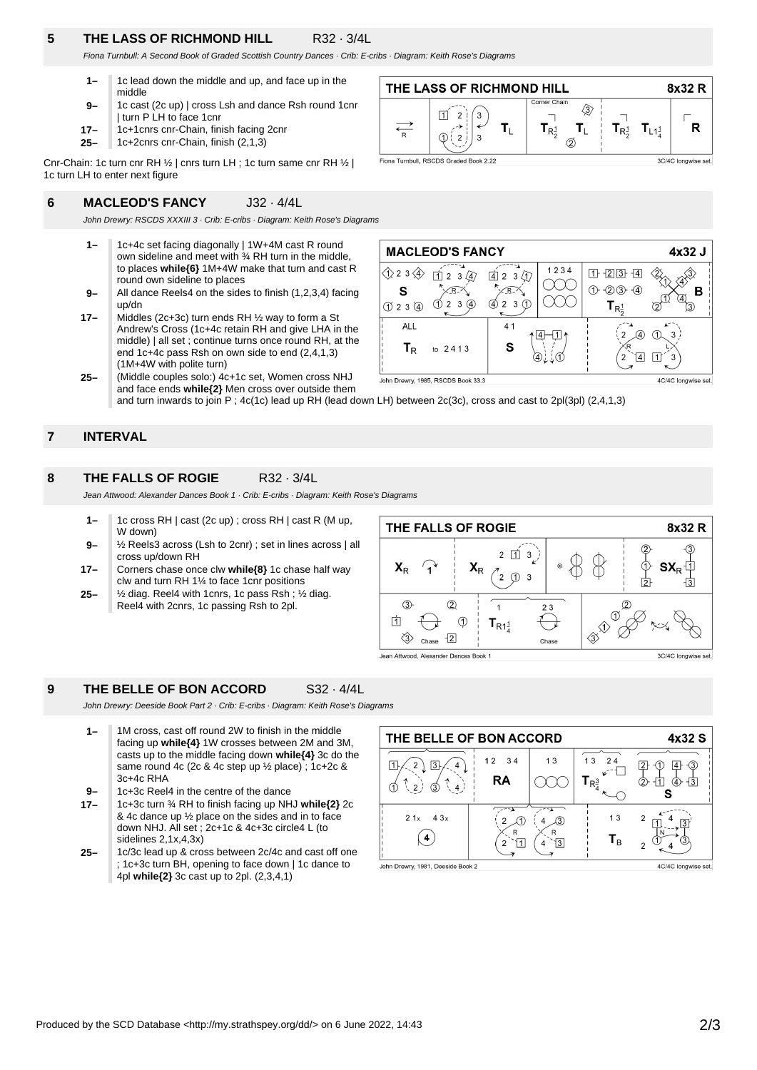# **5 THE LASS OF RICHMOND HILL** R32 · 3/4L

Fiona Turnbull: A Second Book of Graded Scottish Country Dances · Crib: E-cribs · Diagram: Keith Rose's Diagrams

- **1–** 1c lead down the middle and up, and face up in the middle
- **9–** 1c cast (2c up) | cross Lsh and dance Rsh round 1cnr | turn P LH to face 1cnr
- **17–** 1c+1cnrs cnr-Chain, finish facing 2cnr
- **25–** 1c+2cnrs cnr-Chain, finish (2,1,3)

Cnr-Chain: 1c turn cnr RH ½ | cnrs turn LH ; 1c turn same cnr RH ½ | 1c turn LH to enter next figure

#### **6 MACLEOD'S FANCY** J32 · 4/4L

John Drewry: RSCDS XXXIII 3 · Crib: E-cribs · Diagram: Keith Rose's Diagrams

- **1–** 1c+4c set facing diagonally | 1W+4M cast R round own sideline and meet with ¾ RH turn in the middle, to places **while{6}** 1M+4W make that turn and cast R round own sideline to places
- **9–** All dance Reels4 on the sides to finish (1,2,3,4) facing up/dn

**17–** Middles (2c+3c) turn ends RH ½ way to form a St Andrew's Cross (1c+4c retain RH and give LHA in the middle) | all set ; continue turns once round RH, at the end 1c+4c pass Rsh on own side to end (2,4,1,3) (1M+4W with polite turn)

**25–** (Middle couples solo:) 4c+1c set, Women cross NHJ and face ends **while{2}** Men cross over outside them





John Drewry, 1985, RSCDS Book 33.3

4C/4C longwise set.

and turn inwards to join P ; 4c(1c) lead up RH (lead down LH) between 2c(3c), cross and cast to 2pl(3pl) (2,4,1,3)

#### **7 INTERVAL**

#### **8 THE FALLS OF ROGIE** R32 · 3/4L

Jean Attwood: Alexander Dances Book 1 · Crib: E-cribs · Diagram: Keith Rose's Diagrams

- **1–** 1c cross RH | cast (2c up) ; cross RH | cast R (M up, W down)
- **9–** ½ Reels3 across (Lsh to 2cnr) ; set in lines across | all cross up/down RH
- **17–** Corners chase once clw **while{8}** 1c chase half way clw and turn RH 1¼ to face 1cnr positions
- **25–** ½ diag. Reel4 with 1cnrs, 1c pass Rsh ; ½ diag. Reel4 with 2cnrs, 1c passing Rsh to 2pl.



# **9 THE BELLE OF BON ACCORD** S32 · 4/4L

John Drewry: Deeside Book Part 2 · Crib: E-cribs · Diagram: Keith Rose's Diagrams

**1–** 1M cross, cast off round 2W to finish in the middle facing up **while{4}** 1W crosses between 2M and 3M, casts up to the middle facing down **while{4}** 3c do the same round 4c (2c & 4c step up ½ place) ; 1c+2c & 3c+4c RHA

**9–** 1c+3c Reel4 in the centre of the dance

- **17–** 1c+3c turn ¾ RH to finish facing up NHJ **while{2}** 2c & 4c dance up ½ place on the sides and in to face down NHJ. All set ; 2c+1c & 4c+3c circle4 L (to sidelines 2,1x,4,3x)
- **25–** 1c/3c lead up & cross between 2c/4c and cast off one ; 1c+3c turn BH, opening to face down | 1c dance to 4pl **while{2}** 3c cast up to 2pl. (2,3,4,1)

| THE BELLE OF BON ACCORD           | 4x32 S |               |                               |                     |
|-----------------------------------|--------|---------------|-------------------------------|---------------------|
| 3                                 | 12 34  | 13            | 13<br>24                      |                     |
| З<br>4                            | RA     |               | $\mathsf{T}_{\mathsf{R}^3_4}$ | łЗ<br>(4            |
| 21x<br>4.3x                       | R<br>2 | R<br> 3 <br>4 | 13<br>$\mathsf{T}_\mathsf{B}$ | 2<br>2              |
| John Drewry, 1981, Deeside Book 2 |        |               |                               | 4C/4C longwise set. |